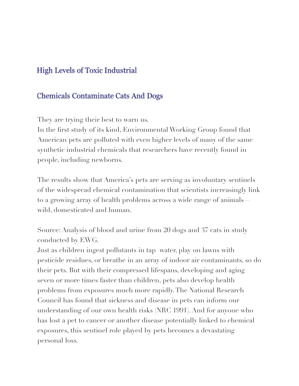### **High Levels of Toxic Industrial**

### **Chemicals Contaminate Cats And Dogs**

They are trying their best to warn us.

In the first study of its kind, Environmental Working Group found that American pets are polluted with even higher levels of many of the same synthetic industrial chemicals that researchers have recently found in people, including newborns.

The results show that America's pets are serving as involuntary sentinels of the widespread chemical contamination that scientists increasingly link to a growing array of health problems across a wide range of animals wild, domesticated and human.

Source: Analysis of blood and urine from 20 dogs and 37 cats in study conducted by EWG.

Just as children ingest pollutants in tap water, play on lawns with pesticide residues, or breathe in an array of indoor air contaminants, so do their pets. But with their compressed lifespans, developing and aging seven or more times faster than children, pets also develop health problems from exposures much more rapidly. The National Research Council has found that sickness and disease in pets can inform our understanding of our own health risks (NRC 1991). And for anyone who has lost a pet to cancer or another disease potentially linked to chemical exposures, this sentinel role played by pets becomes a devastating personal loss.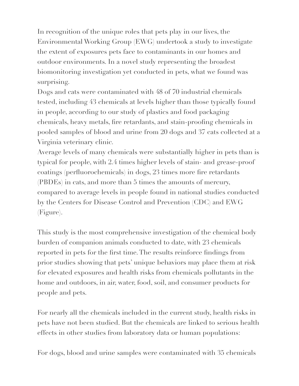In recognition of the unique roles that pets play in our lives, the Environmental Working Group (EWG) undertook a study to investigate the extent of exposures pets face to contaminants in our homes and outdoor environments. In a novel study representing the broadest biomonitoring investigation yet conducted in pets, what we found was surprising.

Dogs and cats were contaminated with 48 of 70 industrial chemicals tested, including 43 chemicals at levels higher than those typically found in people, according to our study of plastics and food packaging chemicals, heavy metals, fire retardants, and stain-proofing chemicals in pooled samples of blood and urine from 20 dogs and 37 cats collected at a Virginia veterinary clinic.

Average levels of many chemicals were substantially higher in pets than is typical for people, with 2.4 times higher levels of stain- and grease-proof coatings (perfluorochemicals) in dogs, 23 times more fire retardants (PBDEs) in cats, and more than 5 times the amounts of mercury, compared to average levels in people found in national studies conducted by the Centers for Disease Control and Prevention (CDC) and EWG (Figure).

This study is the most comprehensive investigation of the chemical body burden of companion animals conducted to date, with 23 chemicals reported in pets for the first time. The results reinforce findings from prior studies showing that pets' unique behaviors may place them at risk for elevated exposures and health risks from chemicals pollutants in the home and outdoors, in air, water, food, soil, and consumer products for people and pets.

For nearly all the chemicals included in the current study, health risks in pets have not been studied. But the chemicals are linked to serious health effects in other studies from laboratory data or human populations:

For dogs, blood and urine samples were contaminated with 35 chemicals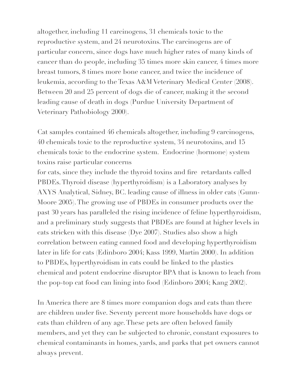altogether, including 11 carcinogens, 31 chemicals toxic to the reproductive system, and 24 neurotoxins. The carcinogens are of particular concern, since dogs have much higher rates of many kinds of cancer than do people, including 35 times more skin cancer, 4 times more breast tumors, 8 times more bone cancer, and twice the incidence of leukemia, according to the Texas A&M Veterinary Medical Center (2008). Between 20 and 25 percent of dogs die of cancer, making it the second leading cause of death in dogs (Purdue University Department of Veterinary Pathobiology 2000).

Cat samples contained 46 chemicals altogether, including 9 carcinogens, 40 chemicals toxic to the reproductive system, 34 neurotoxins, and 15 chemicals toxic to the endocrine system. Endocrine (hormone) system toxins raise particular concerns

for cats, since they include the thyroid toxins and fire retardants called PBDEs. Thyroid disease (hyperthyroidism) is a Laboratory analyses by AXYS Analytical, Sidney, BC. leading cause of illness in older cats (Gunn-Moore 2005). The growing use of PBDEs in consumer products over the past 30 years has paralleled the rising incidence of feline hyperthyroidism, and a preliminary study suggests that PBDEs are found at higher levels in cats stricken with this disease (Dye 2007). Studies also show a high correlation between eating canned food and developing hyperthyroidism later in life for cats (Edinboro 2004; Kass 1999, Martin 2000). In addition to PBDEs, hyperthyroidism in cats could be linked to the plastics chemical and potent endocrine disruptor BPA that is known to leach from the pop-top cat food can lining into food (Edinboro 2004; Kang 2002).

In America there are 8 times more companion dogs and cats than there are children under five. Seventy percent more households have dogs or cats than children of any age. These pets are often beloved family members, and yet they can be subjected to chronic, constant exposures to chemical contaminants in homes, yards, and parks that pet owners cannot always prevent.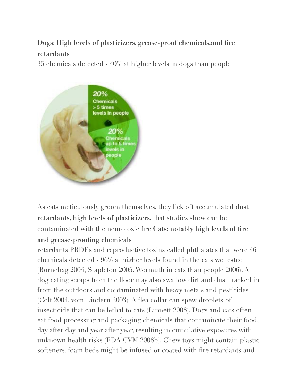## **Dogs: High levels of plasticizers, grease-proof chemicals,and fire retardants**

35 chemicals detected - 40% at higher levels in dogs than people



As cats meticulously groom themselves, they lick off accumulated dust **retardants, high levels of plasticizers,** that studies show can be contaminated with the neurotoxic fire **Cats: notably high levels of fire and grease-proofing chemicals** 

retardants PBDEs and reproductive toxins called phthalates that were 46 chemicals detected - 96% at higher levels found in the cats we tested (Bornehag 2004, Stapleton 2005, Wormuth in cats than people 2006). A dog eating scraps from the floor may also swallow dirt and dust tracked in from the outdoors and contaminated with heavy metals and pesticides (Colt 2004, vom Lindern 2003). A flea collar can spew droplets of insecticide that can be lethal to cats (Linnett 2008). Dogs and cats often eat food processing and packaging chemicals that contaminate their food, day after day and year after year, resulting in cumulative exposures with unknown health risks (FDA CVM 2008b). Chew toys might contain plastic softeners, foam beds might be infused or coated with fire retardants and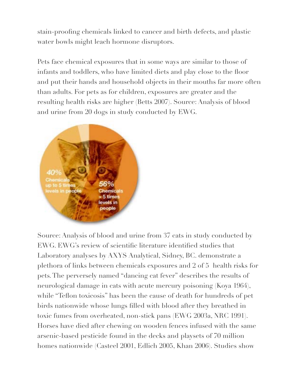stain-proofing chemicals linked to cancer and birth defects, and plastic water bowls might leach hormone disruptors.

Pets face chemical exposures that in some ways are similar to those of infants and toddlers, who have limited diets and play close to the floor and put their hands and household objects in their mouths far more often than adults. For pets as for children, exposures are greater and the resulting health risks are higher (Betts 2007). Source: Analysis of blood and urine from 20 dogs in study conducted by EWG.



Source: Analysis of blood and urine from 37 cats in study conducted by EWG. EWG's review of scientific literature identified studies that Laboratory analyses by AXYS Analytical, Sidney, BC. demonstrate a plethora of links between chemicals exposures and 2 of 5 health risks for pets. The perversely named "dancing cat fever" describes the results of neurological damage in cats with acute mercury poisoning (Koya 1964), while "Teflon toxicosis" has been the cause of death for hundreds of pet birds nationwide whose lungs filled with blood after they breathed in toxic fumes from overheated, non-stick pans (EWG 2003a, NRC 1991). Horses have died after chewing on wooden fences infused with the same arsenic-based pesticide found in the decks and playsets of 70 million homes nationwide (Casteel 2001, Edlich 2005, Khan 2006). Studies show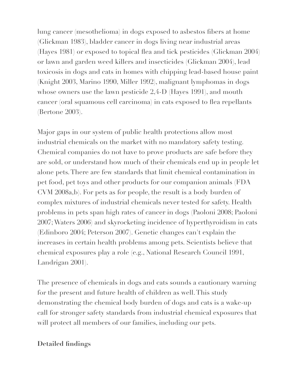lung cancer (mesothelioma) in dogs exposed to asbestos fibers at home (Glickman 1983), bladder cancer in dogs living near industrial areas (Hayes 1981) or exposed to topical flea and tick pesticides (Glickman 2004) or lawn and garden weed killers and insecticides (Glickman 2004), lead toxicosis in dogs and cats in homes with chipping lead-based house paint (Knight 2003, Marino 1990, Miller 1992), malignant lymphomas in dogs whose owners use the lawn pesticide 2,4-D (Hayes 1991), and mouth cancer (oral squamous cell carcinoma) in cats exposed to flea repellants (Bertone 2003).

Major gaps in our system of public health protections allow most industrial chemicals on the market with no mandatory safety testing. Chemical companies do not have to prove products are safe before they are sold, or understand how much of their chemicals end up in people let alone pets. There are few standards that limit chemical contamination in pet food, pet toys and other products for our companion animals (FDA CVM 2008a,b). For pets as for people, the result is a body burden of complex mixtures of industrial chemicals never tested for safety. Health problems in pets span high rates of cancer in dogs (Paoloni 2008; Paoloni 2007; Waters 2006) and skyrocketing incidence of hyperthyroidism in cats (Edinboro 2004; Peterson 2007). Genetic changes can't explain the increases in certain health problems among pets. Scientists believe that chemical exposures play a role (e.g., National Research Council 1991, Landrigan 2001).

The presence of chemicals in dogs and cats sounds a cautionary warning for the present and future health of children as well. This study demonstrating the chemical body burden of dogs and cats is a wake-up call for stronger safety standards from industrial chemical exposures that will protect all members of our families, including our pets.

#### **Detailed findings**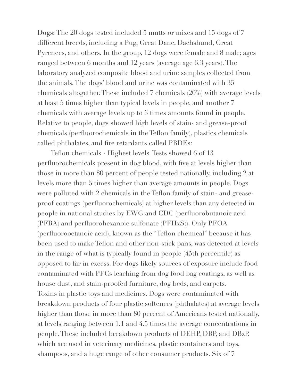**Dogs:** The 20 dogs tested included 5 mutts or mixes and 15 dogs of 7 different breeds, including a Pug, Great Dane, Dachshund, Great Pyrenees, and others. In the group, 12 dogs were female and 8 male; ages ranged between 6 months and 12 years (average age 6.3 years). The laboratory analyzed composite blood and urine samples collected from the animals. The dogs' blood and urine was contaminated with 35 chemicals altogether. These included 7 chemicals (20%) with average levels at least 5 times higher than typical levels in people, and another 7 chemicals with average levels up to 5 times amounts found in people. Relative to people, dogs showed high levels of stain- and grease-proof chemicals (perfluorochemicals in the Teflon family), plastics chemicals called phthalates, and fire retardants called PBDEs:

Teflon chemicals - Highest levels. Tests showed 6 of 13 perfluorochemicals present in dog blood, with five at levels higher than those in more than 80 percent of people tested nationally, including 2 at levels more than 5 times higher than average amounts in people. Dogs were polluted with 2 chemicals in the Teflon family of stain- and greaseproof coatings (perfluorochemicals) at higher levels than any detected in people in national studies by EWG and CDC (perfluorobutanoic acid (PFBA) and perfluorohexanoic sulfonate (PFHxS)). Only PFOA (perfluorooctanoic acid), known as the "Teflon chemical" because it has been used to make Teflon and other non-stick pans, was detected at levels in the range of what is typically found in people (45th percentile) as opposed to far in excess. For dogs likely sources of exposure include food contaminated with PFCs leaching from dog food bag coatings, as well as house dust, and stain-proofed furniture, dog beds, and carpets. Toxins in plastic toys and medicines. Dogs were contaminated with breakdown products of four plastic softeners (phthalates) at average levels higher than those in more than 80 percent of Americans tested nationally, at levels ranging between 1.1 and 4.5 times the average concentrations in people. These included breakdown products of DEHP, DBP, and DBzP, which are used in veterinary medicines, plastic containers and toys, shampoos, and a huge range of other consumer products. Six of 7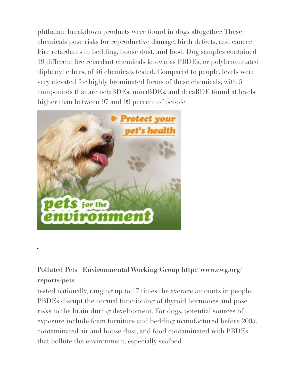phthalate breakdown products were found in dogs altogether. These chemicals pose risks for reproductive damage, birth defects, and cancer. Fire retardants in bedding, house dust, and food. Dog samples contained 19 different fire retardant chemicals known as PBDEs, or polybrominated diphenyl ethers, of 46 chemicals tested. Compared to people, levels were very elevated for highly brominated forms of these chemicals, with 5 compounds that are octaBDEs, nonaBDEs, and decaBDE found at levels higher than between 97 and 99 percent of people



# **Polluted Pets | Environmental Working Group http://www.ewg.org/ reports/pets**

tested nationally, ranging up to 17 times the average amounts in people. PBDEs disrupt the normal functioning of thyroid hormones and pose risks to the brain during development. For dogs, potential sources of exposure include foam furniture and bedding manufactured before 2005, contaminated air and house dust, and food contaminated with PBDEs that pollute the environment, especially seafood.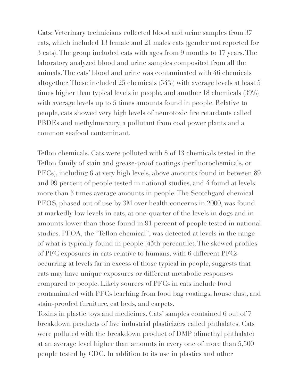**Cats:** Veterinary technicians collected blood and urine samples from 37 cats, which included 13 female and 21 males cats (gender not reported for 3 cats). The group included cats with ages from 9 months to 17 years. The laboratory analyzed blood and urine samples composited from all the animals. The cats' blood and urine was contaminated with 46 chemicals altogether. These included 25 chemicals (54%) with average levels at least 5 times higher than typical levels in people, and another 18 chemicals (39%) with average levels up to 5 times amounts found in people. Relative to people, cats showed very high levels of neurotoxic fire retardants called PBDEs and methylmercury, a pollutant from coal power plants and a common seafood contaminant.

Teflon chemicals. Cats were polluted with 8 of 13 chemicals tested in the Teflon family of stain and grease-proof coatings (perfluorochemicals, or PFCs), including 6 at very high levels, above amounts found in between 89 and 99 percent of people tested in national studies, and 4 found at levels more than 5 times average amounts in people. The Scotchgard chemical PFOS, phased out of use by 3M over health concerns in 2000, was found at markedly low levels in cats, at one-quarter of the levels in dogs and in amounts lower than those found in 91 percent of people tested in national studies. PFOA, the "Teflon chemical", was detected at levels in the range of what is typically found in people (45th percentile). The skewed profiles of PFC exposures in cats relative to humans, with 6 different PFCs occurring at levels far in excess of those typical in people, suggests that cats may have unique exposures or different metabolic responses compared to people. Likely sources of PFCs in cats include food contaminated with PFCs leaching from food bag coatings, house dust, and stain-proofed furniture, cat beds, and carpets.

Toxins in plastic toys and medicines. Cats' samples contained 6 out of 7 breakdown products of five industrial plasticizers called phthalates. Cats were polluted with the breakdown product of DMP (dimethyl phthalate) at an average level higher than amounts in every one of more than 5,500 people tested by CDC. In addition to its use in plastics and other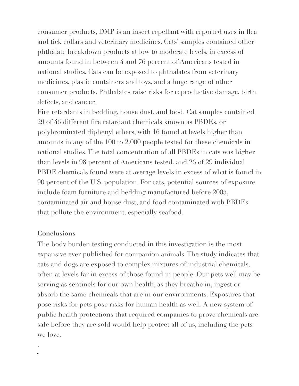consumer products, DMP is an insect repellant with reported uses in flea and tick collars and veterinary medicines. Cats' samples contained other phthalate breakdown products at low to moderate levels, in excess of amounts found in between 4 and 76 percent of Americans tested in national studies. Cats can be exposed to phthalates from veterinary medicines, plastic containers and toys, and a huge range of other consumer products. Phthalates raise risks for reproductive damage, birth defects, and cancer.

Fire retardants in bedding, house dust, and food. Cat samples contained 29 of 46 different fire retardant chemicals known as PBDEs, or polybrominated diphenyl ethers, with 16 found at levels higher than amounts in any of the 100 to 2,000 people tested for these chemicals in national studies. The total concentration of all PBDEs in cats was higher than levels in 98 percent of Americans tested, and 26 of 29 individual PBDE chemicals found were at average levels in excess of what is found in 90 percent of the U.S. population. For cats, potential sources of exposure include foam furniture and bedding manufactured before 2005, contaminated air and house dust, and food contaminated with PBDEs that pollute the environment, especially seafood.

#### **Conclusions**

.

The body burden testing conducted in this investigation is the most expansive ever published for companion animals. The study indicates that cats and dogs are exposed to complex mixtures of industrial chemicals, often at levels far in excess of those found in people. Our pets well may be serving as sentinels for our own health, as they breathe in, ingest or absorb the same chemicals that are in our environments. Exposures that pose risks for pets pose risks for human health as well. A new system of public health protections that required companies to prove chemicals are safe before they are sold would help protect all of us, including the pets we love.